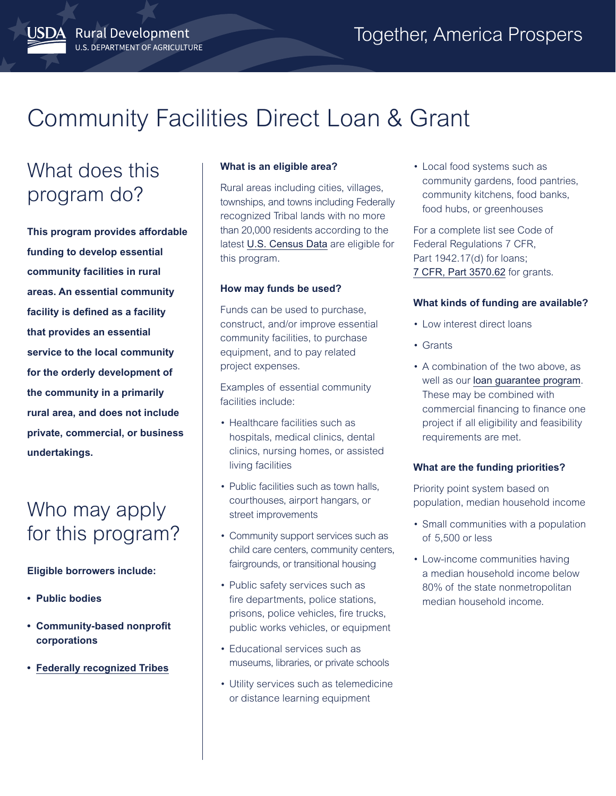# Community Facilities Direct Loan & Grant

# What does this program do?

JSDA Rural Development

U.S. DEPARTMENT OF AGRICULTURE

**This program provides affordable funding to develop essential community facilities in rural areas. An essential community facility is defined as a facility that provides an essential service to the local community for the orderly development of the community in a primarily rural area, and does not include private, commercial, or business undertakings.**

# Who may apply for this program?

### **Eligible borrowers include:**

- **Public bodies**
- **Community-based nonprofit corporations**
- **[Federally recognized Tribes](https://www.bia.gov/bia/ois/tgs)**

#### **What is an eligible area?**

Rural areas including cities, villages, townships, and towns including Federally recognized Tribal lands with no more than 20,000 residents according to the latest [U.S. Census Data](https://www.census.gov/) are eligible for this program.

#### **How may funds be used?**

Funds can be used to purchase, construct, and/or improve essential community facilities, to purchase equipment, and to pay related project expenses.

Examples of essential community facilities include:

- Healthcare facilities such as hospitals, medical clinics, dental clinics, nursing homes, or assisted living facilities
- Public facilities such as town halls, courthouses, airport hangars, or street improvements
- Community support services such as child care centers, community centers, fairgrounds, or transitional housing
- Public safety services such as fire departments, police stations, prisons, police vehicles, fire trucks, public works vehicles, or equipment
- Educational services such as museums, libraries, or private schools
- Utility services such as telemedicine or distance learning equipment

• Local food systems such as community gardens, food pantries, community kitchens, food banks, food hubs, or greenhouses

For a complete list see Code of Federal Regulations 7 CFR, Part 1942.17(d) for loans; [7 CFR, Part 3570.62](https://www.ecfr.gov/cgi-bin/text-idx?SID=dc79cb034816aebec887eb1b64c8cce7&node=pt7.15.3570&rgn=div5) for grants.

#### **What kinds of funding are available?**

- Low interest direct loans
- Grants
- A combination of the two above, as well as our [loan guarantee program](https://www.rd.usda.gov/programs-services/community-facilities-guaranteed-loan-program). These may be combined with commercial financing to finance one project if all eligibility and feasibility requirements are met.

#### **What are the funding priorities?**

Priority point system based on population, median household income

- Small communities with a population of 5,500 or less
- Low-income communities having a median household income below 80% of the state nonmetropolitan median household income.